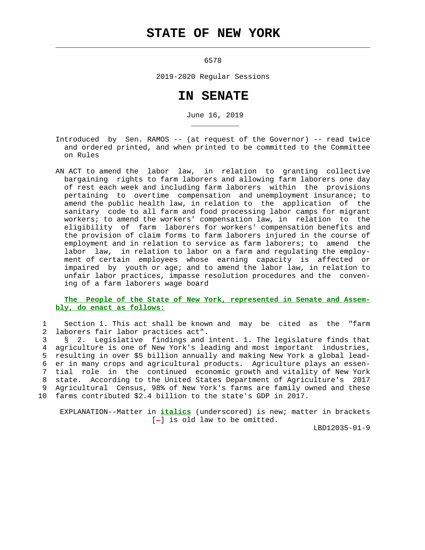## **STATE OF NEW YORK**

 $\mathcal{L}_\text{max} = \frac{1}{2} \sum_{i=1}^{n} \frac{1}{2} \sum_{i=1}^{n} \frac{1}{2} \sum_{i=1}^{n} \frac{1}{2} \sum_{i=1}^{n} \frac{1}{2} \sum_{i=1}^{n} \frac{1}{2} \sum_{i=1}^{n} \frac{1}{2} \sum_{i=1}^{n} \frac{1}{2} \sum_{i=1}^{n} \frac{1}{2} \sum_{i=1}^{n} \frac{1}{2} \sum_{i=1}^{n} \frac{1}{2} \sum_{i=1}^{n} \frac{1}{2} \sum_{i=1}^{n} \frac{1$ 

\_\_\_\_\_\_\_\_\_\_\_

6578

2019-2020 Regular Sessions

## **IN SENATE**

June 16, 2019

- Introduced by Sen. RAMOS -- (at request of the Governor) -- read twice and ordered printed, and when printed to be committed to the Committee on Rules
- AN ACT to amend the labor law, in relation to granting collective bargaining rights to farm laborers and allowing farm laborers one day of rest each week and including farm laborers within the provisions pertaining to overtime compensation and unemployment insurance; to amend the public health law, in relation to the application of the sanitary code to all farm and food processing labor camps for migrant workers; to amend the workers' compensation law, in relation to the eligibility of farm laborers for workers' compensation benefits and the provision of claim forms to farm laborers injured in the course of employment and in relation to service as farm laborers; to amend the labor law, in relation to labor on a farm and regulating the employ ment of certain employees whose earning capacity is affected or impaired by youth or age; and to amend the labor law, in relation to unfair labor practices, impasse resolution procedures and the conven ing of a farm laborers wage board

## **The People of the State of New York, represented in Senate and Assem bly, do enact as follows:**

 1 Section 1. This act shall be known and may be cited as the "farm 2 laborers fair labor practices act".

 3 § 2. Legislative findings and intent. 1. The legislature finds that 4 agriculture is one of New York's leading and most important industries, 5 resulting in over \$5 billion annually and making New York a global lead- 6 er in many crops and agricultural products. Agriculture plays an essen- 7 tial role in the continued economic growth and vitality of New York 8 state. According to the United States Department of Agriculture's 2017 9 Agricultural Census, 98% of New York's farms are family owned and these 10 farms contributed \$2.4 billion to the state's GDP in 2017.

 EXPLANATION--Matter in **italics** (underscored) is new; matter in brackets  $[-]$  is old law to be omitted.

LBD12035-01-9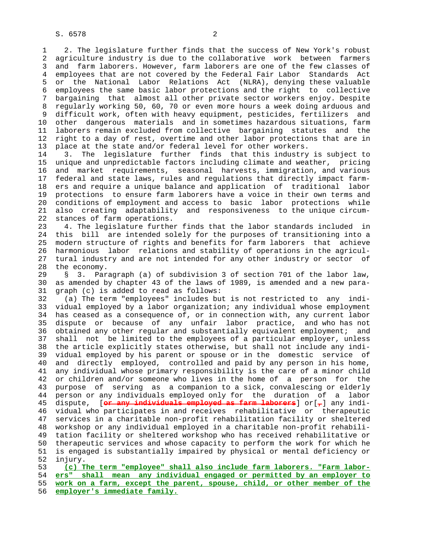1 2. The legislature further finds that the success of New York's robust 2 agriculture industry is due to the collaborative work between farmers 3 and farm laborers. However, farm laborers are one of the few classes of 4 employees that are not covered by the Federal Fair Labor Standards Act 5 or the National Labor Relations Act (NLRA), denying these valuable 6 employees the same basic labor protections and the right to collective 7 bargaining that almost all other private sector workers enjoy. Despite 8 regularly working 50, 60, 70 or even more hours a week doing arduous and<br>9 difficult work, often with heavy equipment, pesticides, fertilizers and difficult work, often with heavy equipment, pesticides, fertilizers and 10 other dangerous materials and in sometimes hazardous situations, farm 11 laborers remain excluded from collective bargaining statutes and the 12 right to a day of rest, overtime and other labor protections that are in 13 place at the state and/or federal level for other workers.

 14 3. The legislature further finds that this industry is subject to 15 unique and unpredictable factors including climate and weather, pricing 16 and market requirements, seasonal harvests, immigration, and various 17 federal and state laws, rules and regulations that directly impact farm- 18 ers and require a unique balance and application of traditional labor 19 protections to ensure farm laborers have a voice in their own terms and 20 conditions of employment and access to basic labor protections while 21 also creating adaptability and responsiveness to the unique circum stances of farm operations.

 23 4. The legislature further finds that the labor standards included in 24 this bill are intended solely for the purposes of transitioning into a 25 modern structure of rights and benefits for farm laborers that achieve 26 harmonious labor relations and stability of operations in the agricul- 27 tural industry and are not intended for any other industry or sector of 28 the economy.

 29 § 3. Paragraph (a) of subdivision 3 of section 701 of the labor law, 30 as amended by chapter 43 of the laws of 1989, is amended and a new para- 31 graph (c) is added to read as follows:

 32 (a) The term "employees" includes but is not restricted to any indi- 33 vidual employed by a labor organization; any individual whose employment 34 has ceased as a consequence of, or in connection with, any current labor 35 dispute or because of any unfair labor practice, and who has not 36 obtained any other regular and substantially equivalent employment; and 37 shall not be limited to the employees of a particular employer, unless 38 the article explicitly states otherwise, but shall not include any indi- 39 vidual employed by his parent or spouse or in the domestic service of 40 and directly employed, controlled and paid by any person in his home, 41 any individual whose primary responsibility is the care of a minor child 42 or children and/or someone who lives in the home of a person for the 43 purpose of serving as a companion to a sick, convalescing or elderly 44 person or any individuals employed only for the duration of a labor 45 dispute, [**or any individuals employed as farm laborers**] or[**,**] any indi- 46 vidual who participates in and receives rehabilitative or therapeutic 47 services in a charitable non-profit rehabilitation facility or sheltered 48 workshop or any individual employed in a charitable non-profit rehabili- 49 tation facility or sheltered workshop who has received rehabilitative or 50 therapeutic services and whose capacity to perform the work for which he 51 is engaged is substantially impaired by physical or mental deficiency or 52 injury.

**(c) The term "employee" shall also include farm laborers. "Farm labor- ers" shall mean any individual engaged or permitted by an employer to work on a farm, except the parent, spouse, child, or other member of the employer's immediate family.**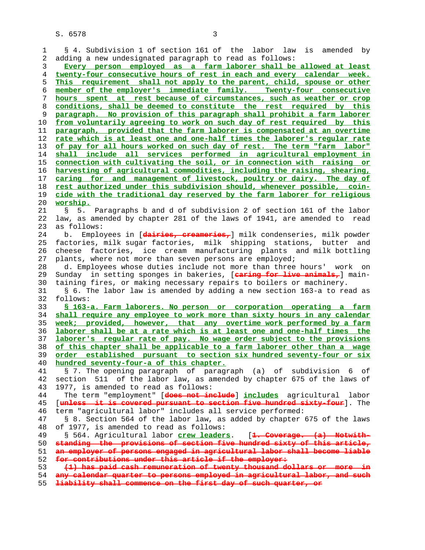| 1  | § 4. Subdivision 1 of section 161 of the labor law<br>is amended by       |
|----|---------------------------------------------------------------------------|
| 2  | adding a new undesignated paragraph to read as follows:                   |
| 3  | Every person employed as a farm laborer shall be allowed at least         |
| 4  | twenty-four consecutive hours of rest in each and every calendar week.    |
| 5  | This requirement shall not apply to the parent, child, spouse or other    |
| 6  | member of the employer's immediate family. Twenty-four consecutive        |
| 7  | hours spent at rest because of circumstances, such as weather or crop     |
| 8  | conditions, shall be deemed to constitute the rest required by this       |
| 9  | paragraph. No provision of this paragraph shall prohibit a farm laborer   |
| 10 | from voluntarily agreeing to work on such day of rest required by this    |
| 11 | paragraph, provided that the farm laborer is compensated at an overtime   |
| 12 | rate which is at least one and one-half times the laborer's regular rate  |
| 13 | of pay for all hours worked on such day of rest. The term "farm labor"    |
| 14 | shall include all services performed in agricultural employment in        |
| 15 | connection with cultivating the soil, or in connection with raising or    |
| 16 | harvesting of agricultural commodities, including the raising, shearing,  |
| 17 | caring for and management of livestock, poultry or dairy. The day of      |
| 18 | rest authorized under this subdivision should, whenever possible, coin-   |
| 19 | cide with the traditional day reserved by the farm laborer for religious  |
| 20 | worship.                                                                  |
| 21 | 5. Paragraphs b and d of subdivision 2 of section 161 of the labor<br>S   |
| 22 | law, as amended by chapter 281 of the laws of 1941, are amended to read   |
| 23 | as follows:                                                               |
| 24 | Employees in [dairies, creameries, ] milk condenseries, milk powder<br>b. |
| 25 | factories, milk sugar factories, milk shipping stations, butter and       |
| 26 | factories, ice cream manufacturing plants and milk bottling<br>cheese     |
| 27 | plants, where not more than seven persons are employed;                   |
| 28 | d. Employees whose duties include not more than three hours' work on      |
| 29 | Sunday in setting sponges in bakeries, [aaring for live animals,] main-   |
| 30 | taining fires, or making necessary repairs to boilers or machinery.       |
| 31 | § 6. The labor law is amended by adding a new section 163-a to read as    |
| 32 | follows:                                                                  |
| 33 | § 163-a. Farm laborers. No person or corporation operating a farm         |
| 34 | shall require any employee to work more than sixty hours in any calendar  |
| 35 | week; provided, however, that any overtime work performed by a farm       |
| 36 | laborer shall be at a rate which is at least one and one-half times the   |
| 37 | laborer's reqular rate of pay. No wage order subject to the provisions    |
| 38 | of this chapter shall be applicable to a farm laborer other than a wage   |
| 39 | order established pursuant to section six hundred seventy-four or six     |
| 40 | hundred seventy-four-a of this chapter.                                   |
| 41 | § 7. The opening paragraph of paragraph (a) of subdivision 6 of           |
| 42 | section 511 of the labor law, as amended by chapter 675 of the laws of    |
| 43 | 1977, is amended to read as follows:                                      |
| 44 | The term "employment" [does not include] includes agricultural labor      |
| 45 | [unless it is covered pursuant to section five hundred sixty-four]. The   |
| 46 | term "agricultural labor" includes all service performed:                 |
| 47 | § 8. Section 564 of the labor law, as added by chapter 675 of the laws    |
| 48 | of 1977, is amended to read as follows:                                   |
| 49 | § 564. Agricultural labor crew leaders. [1. Coverage. (a) Notwith-        |
| 50 | standing the provisions of section five hundred sixty of this article,    |
| 51 | an employer of persons engaged in agricultural labor shall become liable  |
| 52 | for contributions under this article if the employer:                     |
| 53 | (1) has paid cash remuneration of twenty thousand dollars or more in      |
| 54 | any calendar quarter to persons employed in agricultural labor, and such  |
| 55 | liability shall commence on the first day of such quarter, or             |
|    |                                                                           |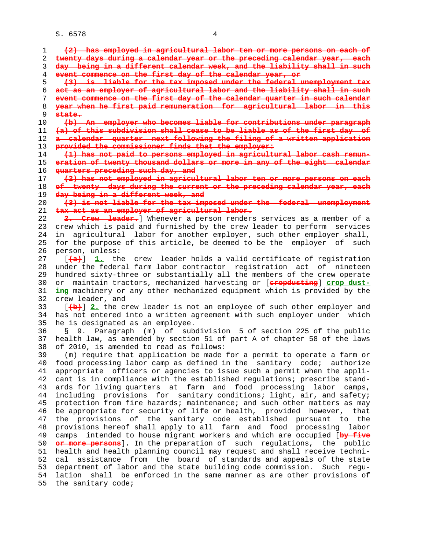| 1  | (2) has employed in agricultural labor ten or more persons on each of                      |
|----|--------------------------------------------------------------------------------------------|
| 2  | twenty days during a calendar year or the preceding calendar year, each                    |
| 3  | day being in a different calendar week, and the liability shall in such                    |
| 4  | event commence on the first day of the calendar year, or                                   |
| 5  | (3) is liable for the tax imposed under the federal unemployment tax                       |
| 6  | act as an employer of agricultural labor and the liability shall in such                   |
| 7  | event commence on the first day of the calendar quarter in such calendar                   |
| 8  | year when he first paid remuneration for agricultural labor in this                        |
| 9  | state.                                                                                     |
| 10 | (b) An employer who becomes liable for contributions under paragraph                       |
| 11 | (a) of this subdivision shall cease to be liable as of the first day of                    |
| 12 | a calendar quarter next following the filing of a written application                      |
| 13 | provided the commissioner finds that the employer:                                         |
| 14 | (1) has not paid to persons employed in agricultural labor cash remun-                     |
| 15 | eration of twenty thousand dollars or more in any of the eight calendar                    |
| 16 | quarters preceding such day, and                                                           |
| 17 | (2) has not employed in agricultural labor ten or more persons on each                     |
| 18 | of twenty days during the current or the preceding calendar year, each                     |
| 19 | day being in a different week, and                                                         |
| 20 | (3) is not liable for the tax imposed under the federal unemployment                       |
| 21 | tax act as an employer of agricultural labor.                                              |
| 22 | 2. Crew leader. Whenever a person renders services as a member of a                        |
| 23 | crew which is paid and furnished by the crew leader to perform services                    |
| 24 | in agricultural labor for another employer, such other employer shall,                     |
| 25 | for the purpose of this article, be deemed to be the employer of such                      |
| 26 | person, unless:                                                                            |
| 27 | leader holds a valid certificate of registration<br>$\left[\frac{a}{a}\right]$ 1. the crew |
| 28 | under the federal farm labor contractor registration act of nineteen                       |
| 29 | hundred sixty-three or substantially all the members of the crew operate                   |
| 30 | maintain tractors, mechanized harvesting or [eropdusting] crop dust-<br>or                 |
| 31 | ing machinery or any other mechanized equipment which is provided by the                   |
| 32 | crew leader, and                                                                           |
| 33 | [(b)] 2. the crew leader is not an employee of such other employer and                     |
| 34 | has not entered into a written agreement with such employer under which                    |
| 35 | he is designated as an employee.                                                           |
| 36 | 9. Paragraph (m) of subdivision 5 of section 225 of the public<br>S.                       |
| 37 | health law, as amended by section 51 of part A of chapter 58 of the laws                   |
| 38 | of 2010, is amended to read as follows:                                                    |
| 39 | (m) require that application be made for a permit to operate a farm or                     |
| 40 | food processing labor camp as defined in the sanitary code; authorize                      |
| 41 | appropriate officers or agencies to issue such a permit when the appli-                    |
| 42 | cant is in compliance with the established regulations; prescribe stand-                   |
| 43 | ards for living quarters at farm and food processing labor camps,                          |
| 44 | including provisions for sanitary conditions; light, air, and safety;                      |
| 45 | protection from fire hazards; maintenance; and such other matters as may                   |
| 46 | be appropriate for security of life or health, provided however, that                      |
| 47 | the provisions of the sanitary code established pursuant to<br>the                         |
| 48 | provisions hereof shall apply to all farm and food processing labor                        |
| 49 | camps intended to house migrant workers and which are occupied [by five                    |
| 50 | or more persons]. In the preparation of such regulations, the public                       |
| 51 | health and health planning council may request and shall receive techni-                   |
| 52 | cal assistance from the board of standards and appeals of the state                        |
| 53 | department of labor and the state building code commission. Such regu-                     |
| 54 | lation shall be enforced in the same manner as are other provisions of                     |
| 55 | the sanitary code;                                                                         |
|    |                                                                                            |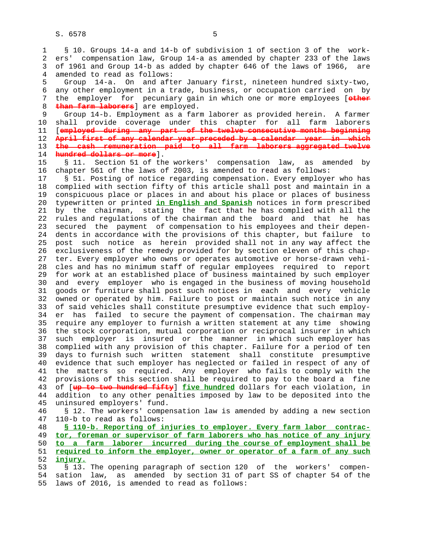1 § 10. Groups 14-a and 14-b of subdivision 1 of section 3 of the work- 2 ers' compensation law, Group 14-a as amended by chapter 233 of the laws 3 of 1961 and Group 14-b as added by chapter 646 of the laws of 1966, are 4 amended to read as follows:

 5 Group 14-a. On and after January first, nineteen hundred sixty-two, 6 any other employment in a trade, business, or occupation carried on by 7 the employer for pecuniary gain in which one or more employees [**other** 8 **than farm laborers**] are employed.

 9 Group 14-b. Employment as a farm laborer as provided herein. A farmer 10 shall provide coverage under this chapter for all farm laborers 11 [**employed during any part of the twelve consecutive months beginning** 12 **April first of any calendar year preceded by a calendar year in which** 13 **the cash remuneration paid to all farm laborers aggregated twelve** 14 **hundred dollars or more**].

 15 § 11. Section 51 of the workers' compensation law, as amended by 16 chapter 561 of the laws of 2003, is amended to read as follows:

 17 § 51. Posting of notice regarding compensation. Every employer who has 18 complied with section fifty of this article shall post and maintain in a 19 conspicuous place or places in and about his place or places of business 20 typewritten or printed **in English and Spanish** notices in form prescribed 21 by the chairman, stating the fact that he has complied with all the 22 rules and regulations of the chairman and the board and that he has 23 secured the payment of compensation to his employees and their depen- 24 dents in accordance with the provisions of this chapter, but failure to 25 post such notice as herein provided shall not in any way affect the 26 exclusiveness of the remedy provided for by section eleven of this chap- 27 ter. Every employer who owns or operates automotive or horse-drawn vehi- 28 cles and has no minimum staff of regular employees required to report 29 for work at an established place of business maintained by such employer 30 and every employer who is engaged in the business of moving household 31 goods or furniture shall post such notices in each and every vehicle 32 owned or operated by him. Failure to post or maintain such notice in any 33 of said vehicles shall constitute presumptive evidence that such employ- 34 er has failed to secure the payment of compensation. The chairman may 35 require any employer to furnish a written statement at any time showing 36 the stock corporation, mutual corporation or reciprocal insurer in which 37 such employer is insured or the manner in which such employer has 38 complied with any provision of this chapter. Failure for a period of ten 39 days to furnish such written statement shall constitute presumptive 40 evidence that such employer has neglected or failed in respect of any of 41 the matters so required. Any employer who fails to comply with the 42 provisions of this section shall be required to pay to the board a fine 43 of [**up to two hundred fifty**] **five hundred** dollars for each violation, in 44 addition to any other penalties imposed by law to be deposited into the 45 uninsured employers' fund.

 46 § 12. The workers' compensation law is amended by adding a new section 47 110-b to read as follows:

**§ 110-b. Reporting of injuries to employer. Every farm labor contrac- tor, foreman or supervisor of farm laborers who has notice of any injury to a farm laborer incurred during the course of employment shall be required to inform the employer, owner or operator of a farm of any such** 52 **injury.**

 53 § 13. The opening paragraph of section 120 of the workers' compen- 54 sation law, as amended by section 31 of part SS of chapter 54 of the 55 laws of 2016, is amended to read as follows: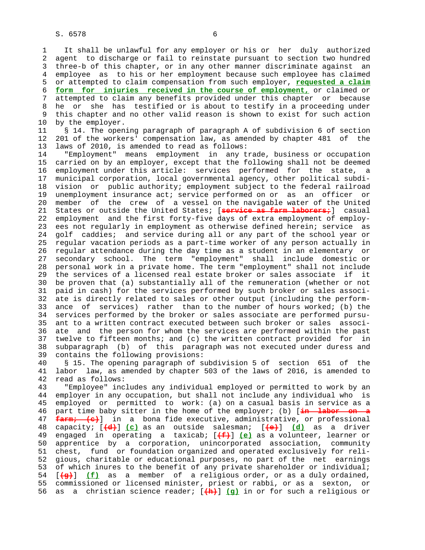1 It shall be unlawful for any employer or his or her duly authorized 2 agent to discharge or fail to reinstate pursuant to section two hundred 3 three-b of this chapter, or in any other manner discriminate against an 4 employee as to his or her employment because such employee has claimed 5 or attempted to claim compensation from such employer, **requested a claim** 6 **form for injuries received in the course of employment,** or claimed or 7 attempted to claim any benefits provided under this chapter or because 8 he or she has testified or is about to testify in a proceeding under<br>9 this chapter and no other valid reason is shown to exist for such action this chapter and no other valid reason is shown to exist for such action 10 by the employer. 11 § 14. The opening paragraph of paragraph A of subdivision 6 of section 12 201 of the workers' compensation law, as amended by chapter 481 of the 13 laws of 2010, is amended to read as follows: 14 "Employment" means employment in any trade, business or occupation 15 carried on by an employer, except that the following shall not be deemed 16 employment under this article: services performed for the state, a 17 municipal corporation, local governmental agency, other political subdi- 18 vision or public authority; employment subject to the federal railroad 19 unemployment insurance act; service performed on or as an officer or 20 member of the crew of a vessel on the navigable water of the United 21 States or outside the United States; [**service as farm laborers;**] casual 22 employment and the first forty-five days of extra employment of employ- 23 ees not regularly in employment as otherwise defined herein; service as 24 golf caddies; and service during all or any part of the school year or 25 regular vacation periods as a part-time worker of any person actually in 26 regular attendance during the day time as a student in an elementary or 27 secondary school. The term "employment" shall include domestic or 28 personal work in a private home. The term "employment" shall not include 29 the services of a licensed real estate broker or sales associate if it 30 be proven that (a) substantially all of the remuneration (whether or not 31 paid in cash) for the services performed by such broker or sales associ- 32 ate is directly related to sales or other output (including the perform- 33 ance of services) rather than to the number of hours worked; (b) the 34 services performed by the broker or sales associate are performed pursu- 35 ant to a written contract executed between such broker or sales associ- 36 ate and the person for whom the services are performed within the past 37 twelve to fifteen months; and (c) the written contract provided for in 38 subparagraph (b) of this paragraph was not executed under duress and

 40 § 15. The opening paragraph of subdivision 5 of section 651 of the 41 labor law, as amended by chapter 503 of the laws of 2016, is amended to 42 read as follows:

39 contains the following provisions:

 43 "Employee" includes any individual employed or permitted to work by an 44 employer in any occupation, but shall not include any individual who is 45 employed or permitted to work: (a) on a casual basis in service as a 46 part time baby sitter in the home of the employer; (b) [**in labor on a** 47 **farm; (c)**] in a bona fide executive, administrative, or professional 48 capacity; [**(d)**] **(c)** as an outside salesman; [**(e)**] **(d)** as a driver 49 engaged in operating a taxicab; [**(f)**] **(e)** as a volunteer, learner or 50 apprentice by a corporation, unincorporated association, community 51 chest, fund or foundation organized and operated exclusively for reli- 52 gious, charitable or educational purposes, no part of the net earnings 53 of which inures to the benefit of any private shareholder or individual; 54 [**(g)**] **(f)** as a member of a religious order, or as a duly ordained, 55 commissioned or licensed minister, priest or rabbi, or as a sexton, or 56 as a christian science reader; [**(h)**] **(g)** in or for such a religious or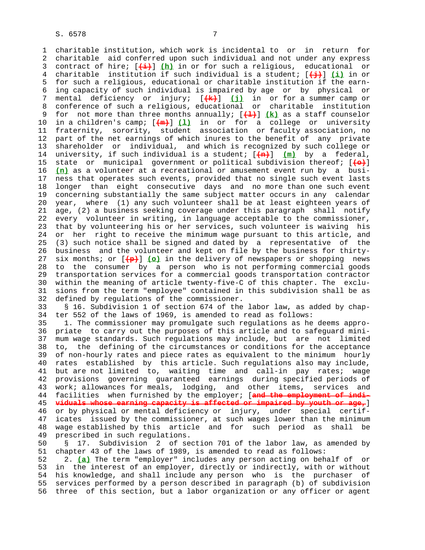1 charitable institution, which work is incidental to or in return for 2 charitable aid conferred upon such individual and not under any express 3 contract of hire; [**(i)**] **(h)** in or for such a religious, educational or 4 charitable institution if such individual is a student; [**(j)**] **(i)** in or 5 for such a religious, educational or charitable institution if the earn- 6 ing capacity of such individual is impaired by age or by physical or 7 mental deficiency or injury; [**(k)**] **(j)** in or for a summer camp or 8 conference of such a religious, educational or charitable institution<br>9 for not more than three months annually;  $[4.1]$  (k) as a staff counselor for not more than three months annually;  $[\frac{1}{2}]$   $\underline{k}$  as a staff counselor 10 in a children's camp; [**(m)**] **(l)** in or for a college or university 11 fraternity, sorority, student association or faculty association, no 12 part of the net earnings of which inures to the benefit of any private 13 shareholder or individual, and which is recognized by such college or 14 university, if such individual is a student; [**(n)**] **(m)** by a federal, 15 state or municipal government or political subdivision thereof; [**(o)**] 16 **(n)** as a volunteer at a recreational or amusement event run by a busi- 17 ness that operates such events, provided that no single such event lasts 18 longer than eight consecutive days and no more than one such event 19 concerning substantially the same subject matter occurs in any calendar 20 year, where (1) any such volunteer shall be at least eighteen years of 21 age, (2) a business seeking coverage under this paragraph shall notify 22 every volunteer in writing, in language acceptable to the commissioner, 23 that by volunteering his or her services, such volunteer is waiving his 24 or her right to receive the minimum wage pursuant to this article, and 25 (3) such notice shall be signed and dated by a representative of the 26 business and the volunteer and kept on file by the business for thirty- 27 six months; or [**(p)**] **(o)** in the delivery of newspapers or shopping news 28 to the consumer by a person who is not performing commercial goods 29 transportation services for a commercial goods transportation contractor 30 within the meaning of article twenty-five-C of this chapter. The exclu- 31 sions from the term "employee" contained in this subdivision shall be as 32 defined by regulations of the commissioner.

 33 § 16. Subdivision 1 of section 674 of the labor law, as added by chap- 34 ter 552 of the laws of 1969, is amended to read as follows:

 35 1. The commissioner may promulgate such regulations as he deems appro- 36 priate to carry out the purposes of this article and to safeguard mini- 37 mum wage standards. Such regulations may include, but are not limited 38 to, the defining of the circumstances or conditions for the acceptance 39 of non-hourly rates and piece rates as equivalent to the minimum hourly 40 rates established by this article. Such regulations also may include, 41 but are not limited to, waiting time and call-in pay rates; wage 42 provisions governing guaranteed earnings during specified periods of 43 work; allowances for meals, lodging, and other items, services and 44 facilities when furnished by the employer; [**and the employment of indi-** 45 **viduals whose earning capacity is affected or impaired by youth or age,**] 46 or by physical or mental deficiency or injury, under special certif- 47 icates issued by the commissioner, at such wages lower than the minimum 48 wage established by this article and for such period as shall be 49 prescribed in such regulations.

 50 § 17. Subdivision 2 of section 701 of the labor law, as amended by 51 chapter 43 of the laws of 1989, is amended to read as follows:

 52 2. **(a)** The term "employer" includes any person acting on behalf of or 53 in the interest of an employer, directly or indirectly, with or without 54 his knowledge, and shall include any person who is the purchaser of 55 services performed by a person described in paragraph (b) of subdivision 56 three of this section, but a labor organization or any officer or agent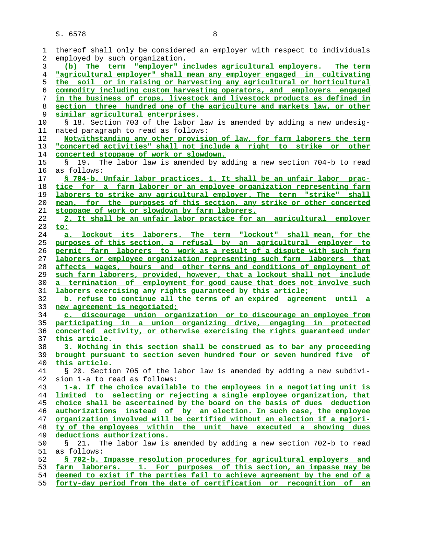| 1              | thereof shall only be considered an employer with respect to individuals |
|----------------|--------------------------------------------------------------------------|
| 2              | employed by such organization.                                           |
| 3              | (b) The term "employer" includes agricultural employers. The term        |
| $\overline{4}$ | "agricultural employer" shall mean any employer engaged in cultivating   |
| 5              | the soil or in raising or harvesting any agricultural or horticultural   |
| 6              | commodity including custom harvesting operators, and employers engaged   |
| 7              | in the business of crops, livestock and livestock products as defined in |
| 8              | section three hundred one of the agriculture and markets law, or other   |
| 9              | similar agricultural enterprises.                                        |
|                |                                                                          |
| 10             | § 18. Section 703 of the labor law is amended by adding a new undesig-   |
| 11             | nated paragraph to read as follows:                                      |
| 12             | Notwithstanding any other provision of law, for farm laborers the term   |
| 13             | "concerted activities" shall not include a right to strike or other      |
| 14             | concerted stoppage of work or slowdown.                                  |
| 15             | 19. The labor law is amended by adding a new section 704-b to read       |
| 16             | as follows:                                                              |
| 17             | § 704-b. Unfair labor practices. 1. It shall be an unfair labor prac-    |
| 18             | tice for a farm laborer or an employee organization representing farm    |
| 19             | laborers to strike any agricultural employer. The term "strike" shall    |
| 20             | mean, for the purposes of this section, any strike or other concerted    |
|                |                                                                          |
| 21             | stoppage of work or slowdown by farm laborers.                           |
| 22             | 2. It shall be an unfair labor practice for an agricultural employer     |
| 23             | to:                                                                      |
| 24             | a. lockout its laborers. The term "lockout" shall mean, for the          |
| 25             | purposes of this section, a refusal by an agricultural employer to       |
| 26             | permit farm laborers to work as a result of a dispute with such farm     |
| 27             | laborers or employee organization representing such farm laborers that   |
| 28             | affects wages, hours and other terms and conditions of employment of     |
| 29             | such farm laborers, provided, however, that a lockout shall not include  |
| 30             | a termination of employment for good cause that does not involve such    |
| 31             | laborers exercising any rights quaranteed by this article;               |
| 32             | b. refuse to continue all the terms of an expired agreement until a      |
| 33             | new agreement is negotiated;                                             |
|                |                                                                          |
| 34             | c. discourage union organization or to discourage an employee from       |
| 35             | participating in a union organizing drive, engaging in protected         |
| 36             | concerted activity, or otherwise exercising the rights quaranteed under  |
| 37             | this article.                                                            |
| 38             | 3. Nothing in this section shall be construed as to bar any proceeding   |
| 39             | brought pursuant to section seven hundred four or seven hundred five of  |
| 40             | this article.                                                            |
| 41             | § 20. Section 705 of the labor law is amended by adding a new subdivi-   |
| 42             | sion 1-a to read as follows:                                             |
| 43             | 1-a. If the choice available to the employees in a negotiating unit is   |
| 44             | limited to selecting or rejecting a single employee organization, that   |
| 45             | choice shall be ascertained by the board on the basis of dues deduction  |
| 46             | authorizations instead of by an election. In such case, the employee     |
|                |                                                                          |
| 47             | organization involved will be certified without an election if a majori- |
| 48             | ty of the employees within the unit have executed a showing dues         |
| 49             | deductions authorizations.                                               |
| 50             | 21. The labor law is amended by adding a new section 702-b to read<br>Š. |
| 51             | as follows:                                                              |
| 52             | § 702-b. Impasse resolution procedures for agricultural employers and    |
| 53             | farm laborers. 1. For purposes of this section, an impasse may be        |
| 54             | deemed to exist if the parties fail to achieve agreement by the end of a |
| 55             | forty-day period from the date of certification or recognition of an     |
|                |                                                                          |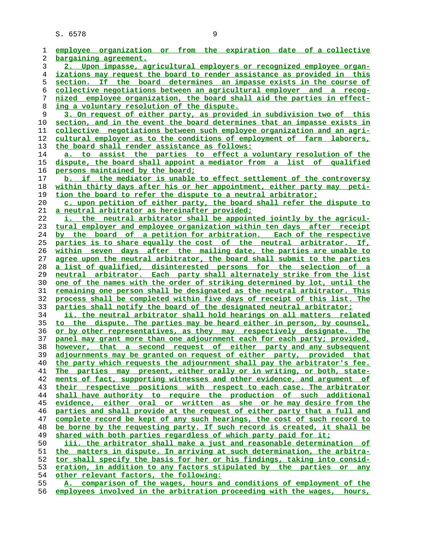| 1  | employee organization or from the expiration date of a collective               |
|----|---------------------------------------------------------------------------------|
| 2  | bargaining agreement.                                                           |
| 3  | 2. Upon impasse, agricultural employers or recognized employee organ-           |
| 4  | izations may request the board to render assistance as provided in this         |
| 5  | section. If the board determines an impasse exists in the course of             |
| 6  | collective negotiations between an agricultural employer and a recog-           |
| 7  | nized employee organization, the board shall aid the parties in effect-         |
| 8  | ing a voluntary resolution of the dispute.                                      |
| 9  | 3. On request of either party, as provided in subdivision two of this           |
| 10 | section, and in the event the board determines that an impasse exists in        |
| 11 | <u>collective negotiations between such employee organization and an agri-</u>  |
| 12 | cultural employer as to the conditions of employment of farm laborers,          |
| 13 | the board shall render assistance as follows:                                   |
| 14 | a. to assist the parties to effect a voluntary resolution of the                |
| 15 | dispute, the board shall appoint a mediator from a list of qualified            |
| 16 | persons maintained by the board;                                                |
| 17 | b. if the mediator is unable to effect settlement of the controversy            |
| 18 | within thirty days after his or her appointment, either party may peti-         |
| 19 | tion the board to refer the dispute to a neutral arbitrator;                    |
| 20 | c. upon petition of either party, the board shall refer the dispute to          |
| 21 | a neutral arbitrator as hereinafter provided;                                   |
| 22 | i. the neutral arbitrator shall be appointed jointly by the agricul-            |
| 23 | tural employer and employee organization within ten days after receipt          |
| 24 | by the board of a petition for arbitration. Each of the respective              |
| 25 | parties is to share equally the cost of the neutral arbitrator. If,             |
| 26 | within seven days after the mailing date, the parties are unable to             |
| 27 | agree upon the neutral arbitrator, the board shall submit to the parties        |
| 28 | a list of qualified, disinterested persons for the selection of a               |
| 29 | neutral arbitrator. Each party shall alternately strike from the list           |
| 30 | <u>one of the names with the order of striking determined by lot, until the</u> |
| 31 | <u>remaining one person shall be designated as the neutral arbitrator. This</u> |
| 32 | process shall be completed within five days of receipt of this list. The        |
| 33 | parties shall notify the board of the designated neutral arbitrator;            |
| 34 | ii. the neutral arbitrator shall hold hearings on all matters related           |
| 35 | to the dispute. The parties may be heard either in person, by counsel,          |
| 36 | or by other representatives, as they may respectively designate. The            |
| 37 | panel may grant more than one adjournment each for each party; provided,        |
| 38 | however, that a second request of either party and any subsequent               |
| 39 | adjournments may be granted on request of either party, provided that           |
| 40 | the party which requests the adjournment shall pay the arbitrator's fee.        |
| 41 | The parties may present, either orally or in writing, or both, state-           |
| 42 | ments of fact, supporting witnesses and other evidence, and argument of         |
| 43 | their respective positions with respect to each case. The arbitrator            |
| 44 | shall have authority to require the production of such additional               |
| 45 | evidence, either oral or written as she or he may desire from the               |
| 46 | parties and shall provide at the request of either party that a full and        |
| 47 | complete record be kept of any such hearings, the cost of such record to        |
| 48 | be borne by the requesting party. If such record is created, it shall be        |
| 49 | shared with both parties regardless of which party paid for it;                 |
| 50 | iii. the arbitrator shall make a just and reasonable determination of           |
| 51 | the matters in dispute. In arriving at such determination, the arbitra-         |
| 52 | tor shall specify the basis for her or his findings, taking into consid-        |
| 53 | eration, in addition to any factors stipulated by the parties or<br>any         |
| 54 | other relevant factors, the following:                                          |
| 55 | A. comparison of the wages, hours and conditions of employment of the           |
| 56 | employees involved in the arbitration proceeding with the wages, hours,         |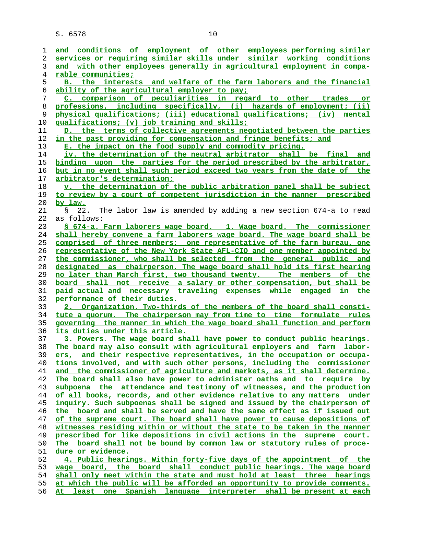| 1        | and conditions of employment of other employees performing similar                                                                             |
|----------|------------------------------------------------------------------------------------------------------------------------------------------------|
| 2        | services or requiring similar skills under similar working conditions                                                                          |
| 3        | and with other employees generally in agricultural employment in compa-                                                                        |
| 4        | <u>rable communities;</u>                                                                                                                      |
| 5        | B. the interests and welfare of the farm laborers and the financial                                                                            |
| 6        | ability of the agricultural employer to pay;                                                                                                   |
| 7        | C. comparison of peculiarities in regard to other trades or                                                                                    |
| 8        | professions, including specifically, (i) hazards of employment; (ii)                                                                           |
| 9        | physical qualifications; (iii) educational qualifications; (iv) mental                                                                         |
| 10       | <u>qualifications; (v) job training and skills;</u>                                                                                            |
| 11       | D. the terms of collective agreements negotiated between the parties                                                                           |
| 12       | in the past providing for compensation and fringe benefits; and                                                                                |
| 13       | E. the impact on the food supply and commodity pricing.                                                                                        |
| 14       | <u>iv. the determination of the neutral arbitrator shall be final and </u>                                                                     |
| 15       | binding upon the parties for the period prescribed by the arbitrator,                                                                          |
| 16       | but in no event shall such period exceed two years from the date of the                                                                        |
| 17       | <u>arbitrator's determination;</u>                                                                                                             |
| 18       | v. the determination of the public arbitration panel shall be subject                                                                          |
| 19       | to review by a court of competent jurisdiction in the manner prescribed                                                                        |
| 20       | by law.                                                                                                                                        |
| 21       | 22.<br>The labor law is amended by adding a new section 674-a to read<br>$\mathbb{S}$                                                          |
| 22       | as follows:                                                                                                                                    |
| 23       | § 674-a. Farm laborers wage board. 1. Wage board. The commissioner                                                                             |
| 24       | shall hereby convene a farm laborers wage board. The wage board shall be                                                                       |
| 25       | comprised of three members: one representative of the farm bureau, one                                                                         |
| 26       | representative of the New York State AFL-CIO and one member appointed by                                                                       |
| 27       | the commissioner, who shall be selected from the general public and                                                                            |
| 28       | designated as chairperson. The wage board shall hold its first hearing                                                                         |
| 29       | no later than March first, two thousand twenty. The members of the                                                                             |
| 30       | board shall not receive a salary or other compensation, but shall be                                                                           |
| 31       | paid actual and necessary traveling expenses while engaged in the                                                                              |
| 32       | performance of their duties.                                                                                                                   |
| 33       | 2. Organization. Two-thirds of the members of the board shall consti-                                                                          |
| 34       | tute a quorum. The chairperson may from time to time formulate rules                                                                           |
| 35       | governing the manner in which the wage board shall function and perform                                                                        |
| 36       | <u>its duties under this article.</u>                                                                                                          |
| 37       | 3. Powers. The wage board shall have power to conduct public hearings.                                                                         |
| 38       | The board may also consult with agricultural employers and farm labor-                                                                         |
| 39       | ers, and their respective representatives, in the occupation or occupa-                                                                        |
| 40       | tions involved, and with such other persons, including the commissioner                                                                        |
| 41       | and the commissioner of agriculture and markets, as it shall determine.                                                                        |
| 42       | The board shall also have power to administer oaths and to require by                                                                          |
| 43       | subpoena the attendance and testimony of witnesses, and the production                                                                         |
| 44       | of all books, records, and other evidence relative to any matters under                                                                        |
| 45       | inquiry. Such subpoenas shall be signed and issued by the chairperson of                                                                       |
| 46       | the board and shall be served and have the same effect as if issued out                                                                        |
| 47       | of the supreme court. The board shall have power to cause depositions of                                                                       |
| 48       | witnesses residing within or without the state to be taken in the manner                                                                       |
| 49       | prescribed for like depositions in civil actions in the supreme court.                                                                         |
| 50       | The board shall not be bound by common law or statutory rules of proce-                                                                        |
| 51       | <u>dure or evidence.</u>                                                                                                                       |
| 52       | 4. Public hearings. Within forty-five days of the appointment of the                                                                           |
| 53       | wage board, the board shall conduct public hearings. The wage board<br>shall only meet within the state and must hold at least three hearings  |
| 54       |                                                                                                                                                |
|          |                                                                                                                                                |
| 55<br>56 | at which the public will be afforded an opportunity to provide comments.<br>At least one Spanish language interpreter shall be present at each |